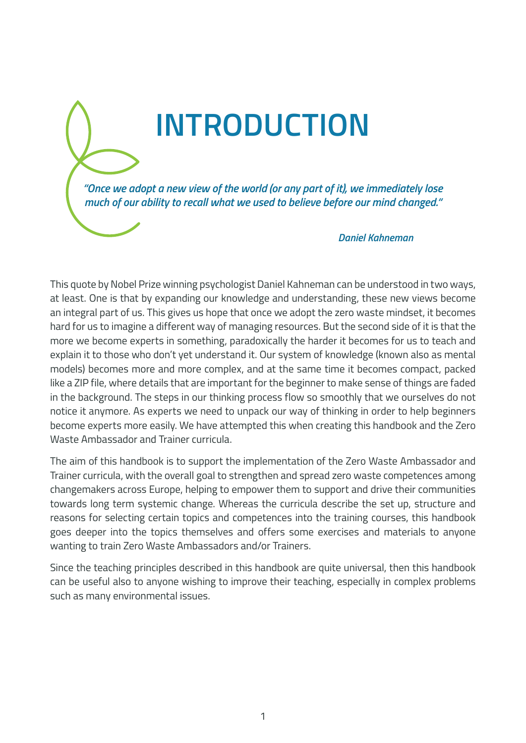*"Once we adopt a new view of the world (or any part of it), we immediately lose much of our ability to recall what we used to believe before our mind changed."*

**INTRODUCTION**

## *Daniel Kahneman*

This quote by Nobel Prize winning psychologist Daniel Kahneman can be understood in two ways, at least. One is that by expanding our knowledge and understanding, these new views become an integral part of us. This gives us hope that once we adopt the zero waste mindset, it becomes hard for us to imagine a different way of managing resources. But the second side of it is that the more we become experts in something, paradoxically the harder it becomes for us to teach and explain it to those who don't yet understand it. Our system of knowledge (known also as mental models) becomes more and more complex, and at the same time it becomes compact, packed like a ZIP file, where details that are important for the beginner to make sense of things are faded in the background. The steps in our thinking process flow so smoothly that we ourselves do not notice it anymore. As experts we need to unpack our way of thinking in order to help beginners become experts more easily. We have attempted this when creating this handbook and the Zero Waste Ambassador and Trainer curricula.

The aim of this handbook is to support the implementation of the Zero Waste Ambassador and Trainer curricula, with the overall goal to strengthen and spread zero waste competences among changemakers across Europe, helping to empower them to support and drive their communities towards long term systemic change. Whereas the curricula describe the set up, structure and reasons for selecting certain topics and competences into the training courses, this handbook goes deeper into the topics themselves and offers some exercises and materials to anyone wanting to train Zero Waste Ambassadors and/or Trainers.

Since the teaching principles described in this handbook are quite universal, then this handbook can be useful also to anyone wishing to improve their teaching, especially in complex problems such as many environmental issues.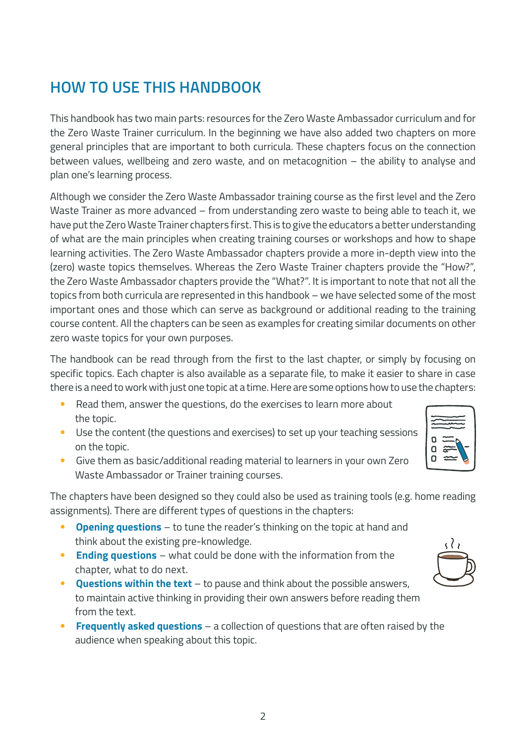## **HOW TO USE THIS HANDBOOK**

This handbook has two main parts: resources for the Zero Waste Ambassador curriculum and for the Zero Waste Trainer curriculum. In the beginning we have also added two chapters on more general principles that are important to both curricula. These chapters focus on the connection between values, wellbeing and zero waste, and on metacognition – the ability to analyse and plan one's learning process.

Although we consider the Zero Waste Ambassador training course as the first level and the Zero Waste Trainer as more advanced – from understanding zero waste to being able to teach it, we have put the Zero Waste Trainer chapters first. This is to give the educators a better understanding of what are the main principles when creating training courses or workshops and how to shape learning activities. The Zero Waste Ambassador chapters provide a more in-depth view into the (zero) waste topics themselves. Whereas the Zero Waste Trainer chapters provide the "How?", the Zero Waste Ambassador chapters provide the "What?". It is important to note that not all the topics from both curricula are represented in this handbook – we have selected some of the most important ones and those which can serve as background or additional reading to the training course content. All the chapters can be seen as examples for creating similar documents on other zero waste topics for your own purposes.

The handbook can be read through from the first to the last chapter, or simply by focusing on specific topics. Each chapter is also available as a separate file, to make it easier to share in case there is a need to work with just one topic at a time. Here are some options how to use the chapters:

- Read them, answer the questions, do the exercises to learn more about the topic.
- Use the content (the questions and exercises) to set up your teaching sessions on the topic.
- Give them as basic/additional reading material to learners in your own Zero Waste Ambassador or Trainer training courses.

The chapters have been designed so they could also be used as training tools (e.g. home reading assignments). There are different types of questions in the chapters:

- **Opening questions** to tune the reader's thinking on the topic at hand and think about the existing pre-knowledge.
- **Ending questions** what could be done with the information from the chapter, what to do next.
- **Questions within the text** to pause and think about the possible answers, to maintain active thinking in providing their own answers before reading them from the text.
- **Frequently asked questions** a collection of questions that are often raised by the audience when speaking about this topic.

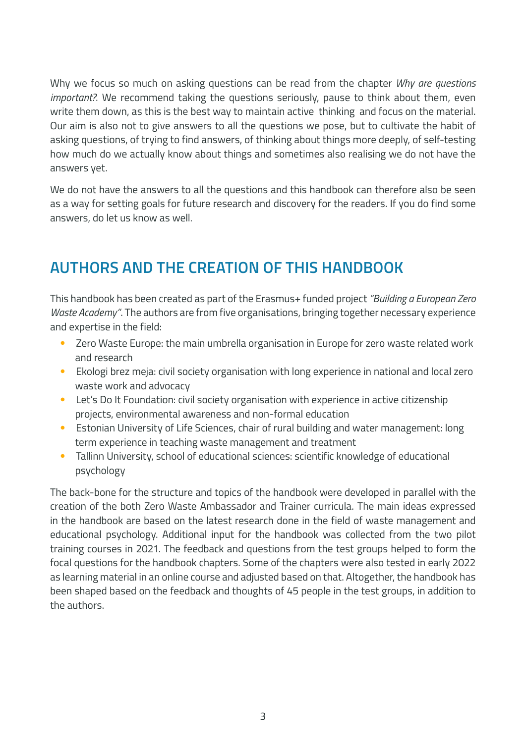Why we focus so much on asking questions can be read from the chapter *Why are questions important?*. We recommend taking the questions seriously, pause to think about them, even write them down, as this is the best way to maintain active thinking and focus on the material. Our aim is also not to give answers to all the questions we pose, but to cultivate the habit of asking questions, of trying to find answers, of thinking about things more deeply, of self-testing how much do we actually know about things and sometimes also realising we do not have the answers yet.

We do not have the answers to all the questions and this handbook can therefore also be seen as a way for setting goals for future research and discovery for the readers. If you do find some answers, do let us know as well.

## **AUTHORS AND THE CREATION OF THIS HANDBOOK**

This handbook has been created as part of the Erasmus+ funded project *"Building a European Zero Waste Academy"*. The authors are from five organisations, bringing together necessary experience and expertise in the field:

- Zero Waste Europe: the main umbrella organisation in Europe for zero waste related work and research
- Ekologi brez meja: civil society organisation with long experience in national and local zero waste work and advocacy
- Let's Do It Foundation: civil society organisation with experience in active citizenship projects, environmental awareness and non-formal education
- Estonian University of Life Sciences, chair of rural building and water management: long term experience in teaching waste management and treatment
- Tallinn University, school of educational sciences: scientific knowledge of educational psychology

The back-bone for the structure and topics of the handbook were developed in parallel with the creation of the both Zero Waste Ambassador and Trainer curricula. The main ideas expressed in the handbook are based on the latest research done in the field of waste management and educational psychology. Additional input for the handbook was collected from the two pilot training courses in 2021. The feedback and questions from the test groups helped to form the focal questions for the handbook chapters. Some of the chapters were also tested in early 2022 as learning material in an online course and adjusted based on that. Altogether, the handbook has been shaped based on the feedback and thoughts of 45 people in the test groups, in addition to the authors.